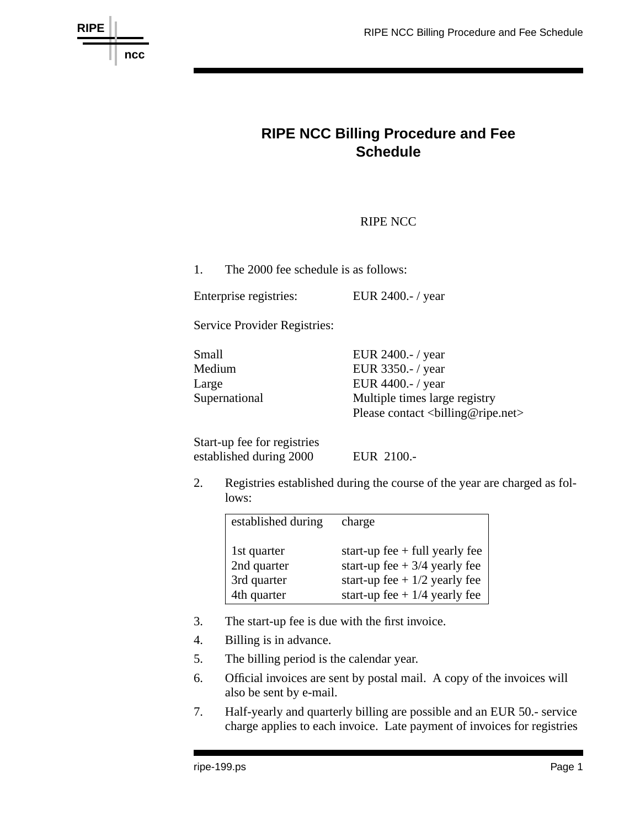

## **RIPE NCC Billing Procedure and Fee Schedule**

## RIPE NCC

1. The 2000 fee schedule is as follows:

Enterprise registries: EUR 2400.- / year

Service Provider Registries:

| Small         | EUR $2400$ .-/year                                                                       |
|---------------|------------------------------------------------------------------------------------------|
| Medium        | EUR 3350.-/ year                                                                         |
| Large         | EUR $4400$ .-/year                                                                       |
| Supernational | Multiple times large registry                                                            |
|               | Please contact<br><br><br><br><br><br>e<br>aser><br><br><br>Please contact<br><br>$\geq$ |

Start-up fee for registries established during 2000 EUR 2100.-

2. Registries established during the course of the year are charged as follows:

| established during | charge                           |
|--------------------|----------------------------------|
| 1st quarter        | start-up fee $+$ full yearly fee |
| 2nd quarter        | start-up fee $+3/4$ yearly fee   |
| 3rd quarter        | start-up fee + $1/2$ yearly fee  |
| 4th quarter        | start-up fee + $1/4$ yearly fee  |

- 3. The start-up fee is due with the first invoice.
- 4. Billing is in advance.
- 5. The billing period is the calendar year.
- 6. Official invoices are sent by postal mail. A copy of the invoices will also be sent by e-mail.
- 7. Half-yearly and quarterly billing are possible and an EUR 50.- service charge applies to each invoice. Late payment of invoices for registries